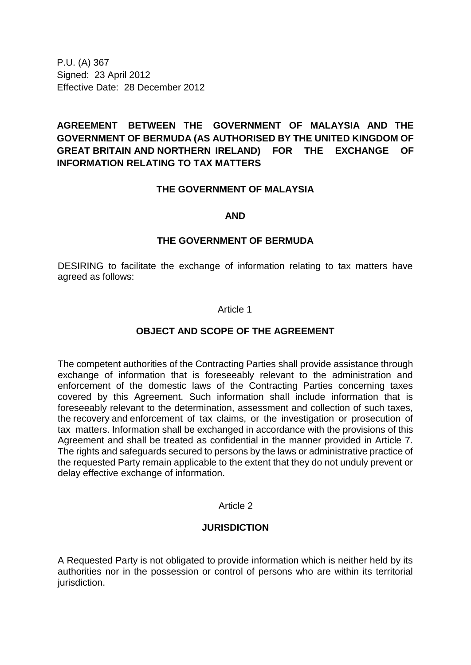P.U. (A) 367 Signed: 23 April 2012 Effective Date: 28 December 2012

# **AGREEMENT BETWEEN THE GOVERNMENT OF MALAYSIA AND THE GOVERNMENT OF BERMUDA (AS AUTHORISED BY THE UNITED KINGDOM OF GREAT BRITAIN AND NORTHERN IRELAND) FOR THE EXCHANGE OF INFORMATION RELATING TO TAX MATTERS**

#### **THE GOVERNMENT OF MALAYSIA**

#### **AND**

#### **THE GOVERNMENT OF BERMUDA**

DESIRING to facilitate the exchange of information relating to tax matters have agreed as follows:

#### Article 1

### **OBJECT AND SCOPE OF THE AGREEMENT**

The competent authorities of the Contracting Parties shall provide assistance through exchange of information that is foreseeably relevant to the administration and enforcement of the domestic laws of the Contracting Parties concerning taxes covered by this Agreement. Such information shall include information that is foreseeably relevant to the determination, assessment and collection of such taxes, the recovery and enforcement of tax claims, or the investigation or prosecution of tax matters. Information shall be exchanged in accordance with the provisions of this Agreement and shall be treated as confidential in the manner provided in Article 7. The rights and safeguards secured to persons by the laws or administrative practice of the requested Party remain applicable to the extent that they do not unduly prevent or delay effective exchange of information.

#### Article 2

### **JURISDICTION**

A Requested Party is not obligated to provide information which is neither held by its authorities nor in the possession or control of persons who are within its territorial jurisdiction.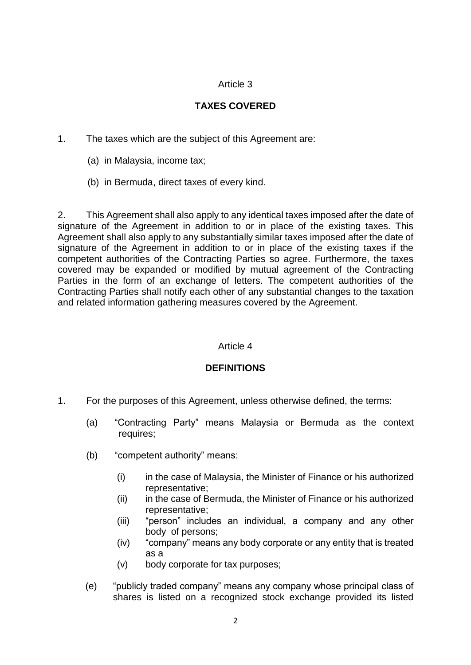## Article 3

# **TAXES COVERED**

1. The taxes which are the subject of this Agreement are:

- (a) in Malaysia, income tax;
- (b) in Bermuda, direct taxes of every kind.

2. This Agreement shall also apply to any identical taxes imposed after the date of signature of the Agreement in addition to or in place of the existing taxes. This Agreement shall also apply to any substantially similar taxes imposed after the date of signature of the Agreement in addition to or in place of the existing taxes if the competent authorities of the Contracting Parties so agree. Furthermore, the taxes covered may be expanded or modified by mutual agreement of the Contracting Parties in the form of an exchange of letters. The competent authorities of the Contracting Parties shall notify each other of any substantial changes to the taxation and related information gathering measures covered by the Agreement.

### Article 4

## **DEFINITIONS**

- 1. For the purposes of this Agreement, unless otherwise defined, the terms:
	- (a) "Contracting Party" means Malaysia or Bermuda as the context requires;
	- (b) "competent authority" means:
		- (i) in the case of Malaysia, the Minister of Finance or his authorized representative;
		- (ii) in the case of Bermuda, the Minister of Finance or his authorized representative;
		- (iii) "person" includes an individual, a company and any other body of persons;
		- (iv) "company" means any body corporate or any entity that is treated as a
		- (v) body corporate for tax purposes;
	- (e) "publicly traded company" means any company whose principal class of shares is listed on a recognized stock exchange provided its listed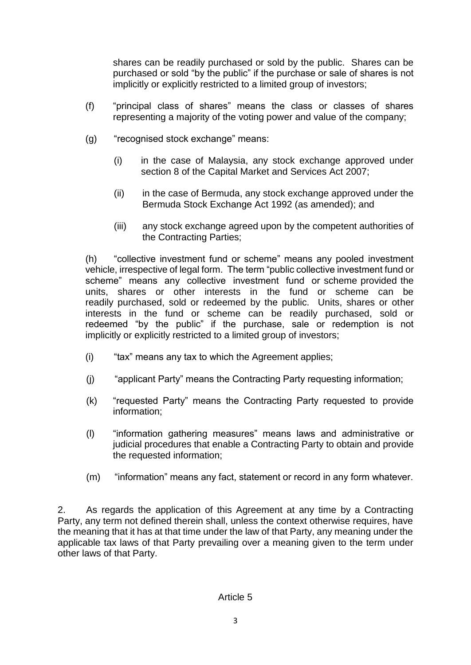shares can be readily purchased or sold by the public. Shares can be purchased or sold "by the public" if the purchase or sale of shares is not implicitly or explicitly restricted to a limited group of investors;

- (f) "principal class of shares" means the class or classes of shares representing a majority of the voting power and value of the company;
- (g) "recognised stock exchange" means:
	- (i) in the case of Malaysia, any stock exchange approved under section 8 of the Capital Market and Services Act 2007;
	- (ii) in the case of Bermuda, any stock exchange approved under the Bermuda Stock Exchange Act 1992 (as amended); and
	- (iii) any stock exchange agreed upon by the competent authorities of the Contracting Parties;

(h) "collective investment fund or scheme" means any pooled investment vehicle, irrespective of legal form. The term "public collective investment fund or scheme" means any collective investment fund or scheme provided the units, shares or other interests in the fund or scheme can be readily purchased, sold or redeemed by the public. Units, shares or other interests in the fund or scheme can be readily purchased, sold or redeemed "by the public" if the purchase, sale or redemption is not implicitly or explicitly restricted to a limited group of investors;

- (i) "tax" means any tax to which the Agreement applies;
- (j) "applicant Party" means the Contracting Party requesting information;
- (k) "requested Party" means the Contracting Party requested to provide information;
- (l) "information gathering measures" means laws and administrative or judicial procedures that enable a Contracting Party to obtain and provide the requested information;
- (m) "information" means any fact, statement or record in any form whatever.

2. As regards the application of this Agreement at any time by a Contracting Party, any term not defined therein shall, unless the context otherwise requires, have the meaning that it has at that time under the law of that Party, any meaning under the applicable tax laws of that Party prevailing over a meaning given to the term under other laws of that Party.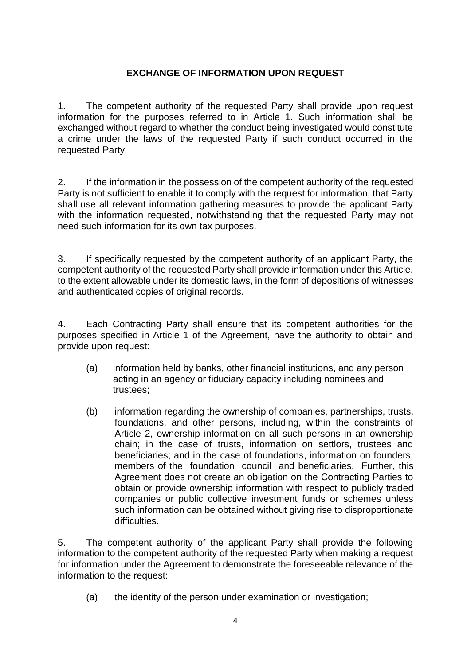# **EXCHANGE OF INFORMATION UPON REQUEST**

1. The competent authority of the requested Party shall provide upon request information for the purposes referred to in Article 1. Such information shall be exchanged without regard to whether the conduct being investigated would constitute a crime under the laws of the requested Party if such conduct occurred in the requested Party.

2. If the information in the possession of the competent authority of the requested Party is not sufficient to enable it to comply with the request for information, that Party shall use all relevant information gathering measures to provide the applicant Party with the information requested, notwithstanding that the requested Party may not need such information for its own tax purposes.

3. If specifically requested by the competent authority of an applicant Party, the competent authority of the requested Party shall provide information under this Article, to the extent allowable under its domestic laws, in the form of depositions of witnesses and authenticated copies of original records.

4. Each Contracting Party shall ensure that its competent authorities for the purposes specified in Article 1 of the Agreement, have the authority to obtain and provide upon request:

- (a) information held by banks, other financial institutions, and any person acting in an agency or fiduciary capacity including nominees and trustees;
- (b) information regarding the ownership of companies, partnerships, trusts, foundations, and other persons, including, within the constraints of Article 2, ownership information on all such persons in an ownership chain; in the case of trusts, information on settlors, trustees and beneficiaries; and in the case of foundations, information on founders, members of the foundation council and beneficiaries. Further, this Agreement does not create an obligation on the Contracting Parties to obtain or provide ownership information with respect to publicly traded companies or public collective investment funds or schemes unless such information can be obtained without giving rise to disproportionate difficulties.

5. The competent authority of the applicant Party shall provide the following information to the competent authority of the requested Party when making a request for information under the Agreement to demonstrate the foreseeable relevance of the information to the request:

(a) the identity of the person under examination or investigation;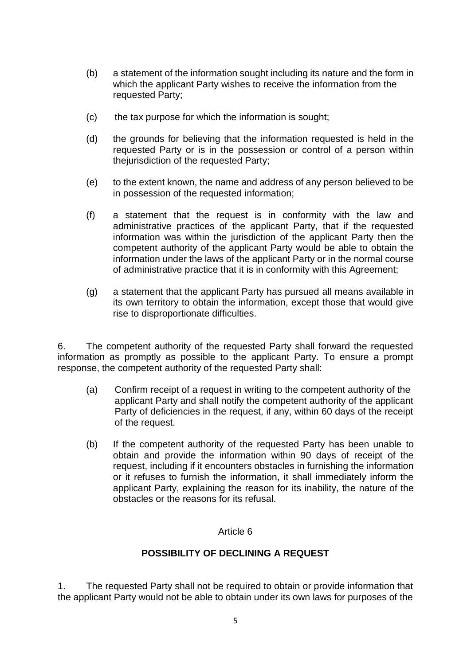- (b) a statement of the information sought including its nature and the form in which the applicant Party wishes to receive the information from the requested Party;
- (c) the tax purpose for which the information is sought;
- (d) the grounds for believing that the information requested is held in the requested Party or is in the possession or control of a person within thejurisdiction of the requested Party;
- (e) to the extent known, the name and address of any person believed to be in possession of the requested information;
- (f) a statement that the request is in conformity with the law and administrative practices of the applicant Party, that if the requested information was within the jurisdiction of the applicant Party then the competent authority of the applicant Party would be able to obtain the information under the laws of the applicant Party or in the normal course of administrative practice that it is in conformity with this Agreement;
- (g) a statement that the applicant Party has pursued all means available in its own territory to obtain the information, except those that would give rise to disproportionate difficulties.

6. The competent authority of the requested Party shall forward the requested information as promptly as possible to the applicant Party. To ensure a prompt response, the competent authority of the requested Party shall:

- (a) Confirm receipt of a request in writing to the competent authority of the applicant Party and shall notify the competent authority of the applicant Party of deficiencies in the request, if any, within 60 days of the receipt of the request.
- (b) If the competent authority of the requested Party has been unable to obtain and provide the information within 90 days of receipt of the request, including if it encounters obstacles in furnishing the information or it refuses to furnish the information, it shall immediately inform the applicant Party, explaining the reason for its inability, the nature of the obstacles or the reasons for its refusal.

### Article 6

## **POSSIBILITY OF DECLINING A REQUEST**

1. The requested Party shall not be required to obtain or provide information that the applicant Party would not be able to obtain under its own laws for purposes of the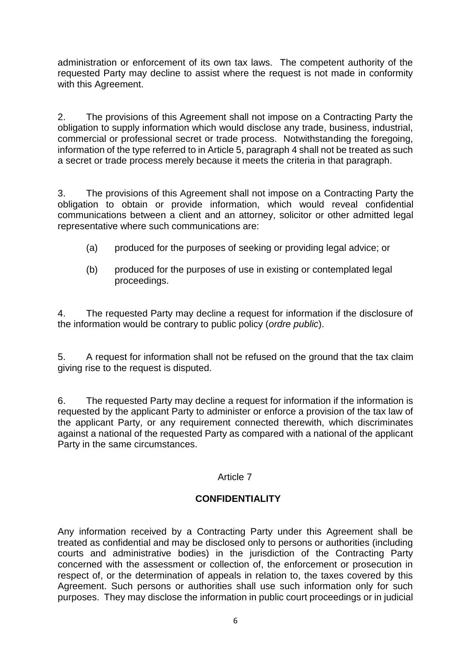administration or enforcement of its own tax laws. The competent authority of the requested Party may decline to assist where the request is not made in conformity with this Agreement.

2. The provisions of this Agreement shall not impose on a Contracting Party the obligation to supply information which would disclose any trade, business, industrial, commercial or professional secret or trade process. Notwithstanding the foregoing, information of the type referred to in Article 5, paragraph 4 shall not be treated as such a secret or trade process merely because it meets the criteria in that paragraph.

3. The provisions of this Agreement shall not impose on a Contracting Party the obligation to obtain or provide information, which would reveal confidential communications between a client and an attorney, solicitor or other admitted legal representative where such communications are:

- (a) produced for the purposes of seeking or providing legal advice; or
- (b) produced for the purposes of use in existing or contemplated legal proceedings.

4. The requested Party may decline a request for information if the disclosure of the information would be contrary to public policy (*ordre public*).

5. A request for information shall not be refused on the ground that the tax claim giving rise to the request is disputed.

6. The requested Party may decline a request for information if the information is requested by the applicant Party to administer or enforce a provision of the tax law of the applicant Party, or any requirement connected therewith, which discriminates against a national of the requested Party as compared with a national of the applicant Party in the same circumstances.

### Article 7

## **CONFIDENTIALITY**

Any information received by a Contracting Party under this Agreement shall be treated as confidential and may be disclosed only to persons or authorities (including courts and administrative bodies) in the jurisdiction of the Contracting Party concerned with the assessment or collection of, the enforcement or prosecution in respect of, or the determination of appeals in relation to, the taxes covered by this Agreement. Such persons or authorities shall use such information only for such purposes. They may disclose the information in public court proceedings or in judicial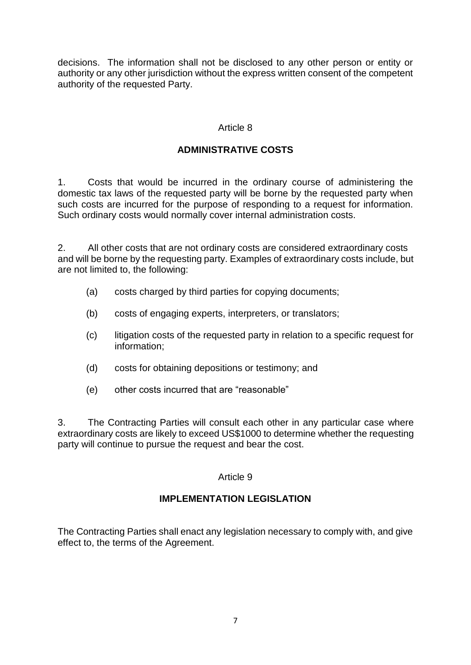decisions. The information shall not be disclosed to any other person or entity or authority or any other jurisdiction without the express written consent of the competent authority of the requested Party.

### Article 8

## **ADMINISTRATIVE COSTS**

1. Costs that would be incurred in the ordinary course of administering the domestic tax laws of the requested party will be borne by the requested party when such costs are incurred for the purpose of responding to a request for information. Such ordinary costs would normally cover internal administration costs.

2. All other costs that are not ordinary costs are considered extraordinary costs and will be borne by the requesting party. Examples of extraordinary costs include, but are not limited to, the following:

- (a) costs charged by third parties for copying documents;
- (b) costs of engaging experts, interpreters, or translators;
- (c) litigation costs of the requested party in relation to a specific request for information;
- (d) costs for obtaining depositions or testimony; and
- (e) other costs incurred that are "reasonable"

3. The Contracting Parties will consult each other in any particular case where extraordinary costs are likely to exceed US\$1000 to determine whether the requesting party will continue to pursue the request and bear the cost.

#### Article 9

### **IMPLEMENTATION LEGISLATION**

The Contracting Parties shall enact any legislation necessary to comply with, and give effect to, the terms of the Agreement.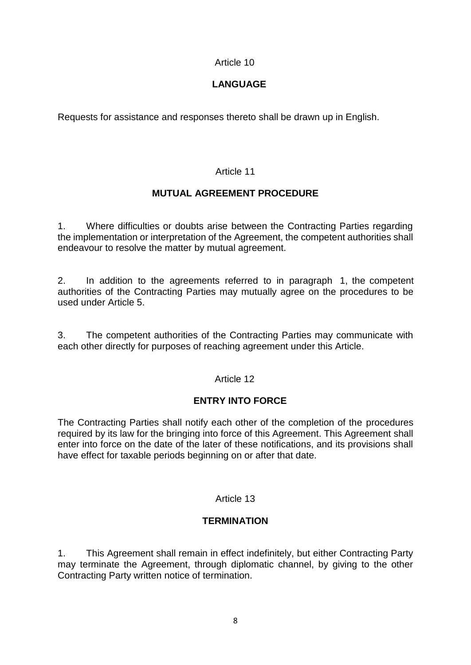## Article 10

## **LANGUAGE**

Requests for assistance and responses thereto shall be drawn up in English.

## Article 11

# **MUTUAL AGREEMENT PROCEDURE**

1. Where difficulties or doubts arise between the Contracting Parties regarding the implementation or interpretation of the Agreement, the competent authorities shall endeavour to resolve the matter by mutual agreement.

2. In addition to the agreements referred to in paragraph 1, the competent authorities of the Contracting Parties may mutually agree on the procedures to be used under Article 5.

3. The competent authorities of the Contracting Parties may communicate with each other directly for purposes of reaching agreement under this Article.

### Article 12

## **ENTRY INTO FORCE**

The Contracting Parties shall notify each other of the completion of the procedures required by its law for the bringing into force of this Agreement. This Agreement shall enter into force on the date of the later of these notifications, and its provisions shall have effect for taxable periods beginning on or after that date.

## Article 13

## **TERMINATION**

1. This Agreement shall remain in effect indefinitely, but either Contracting Party may terminate the Agreement, through diplomatic channel, by giving to the other Contracting Party written notice of termination.